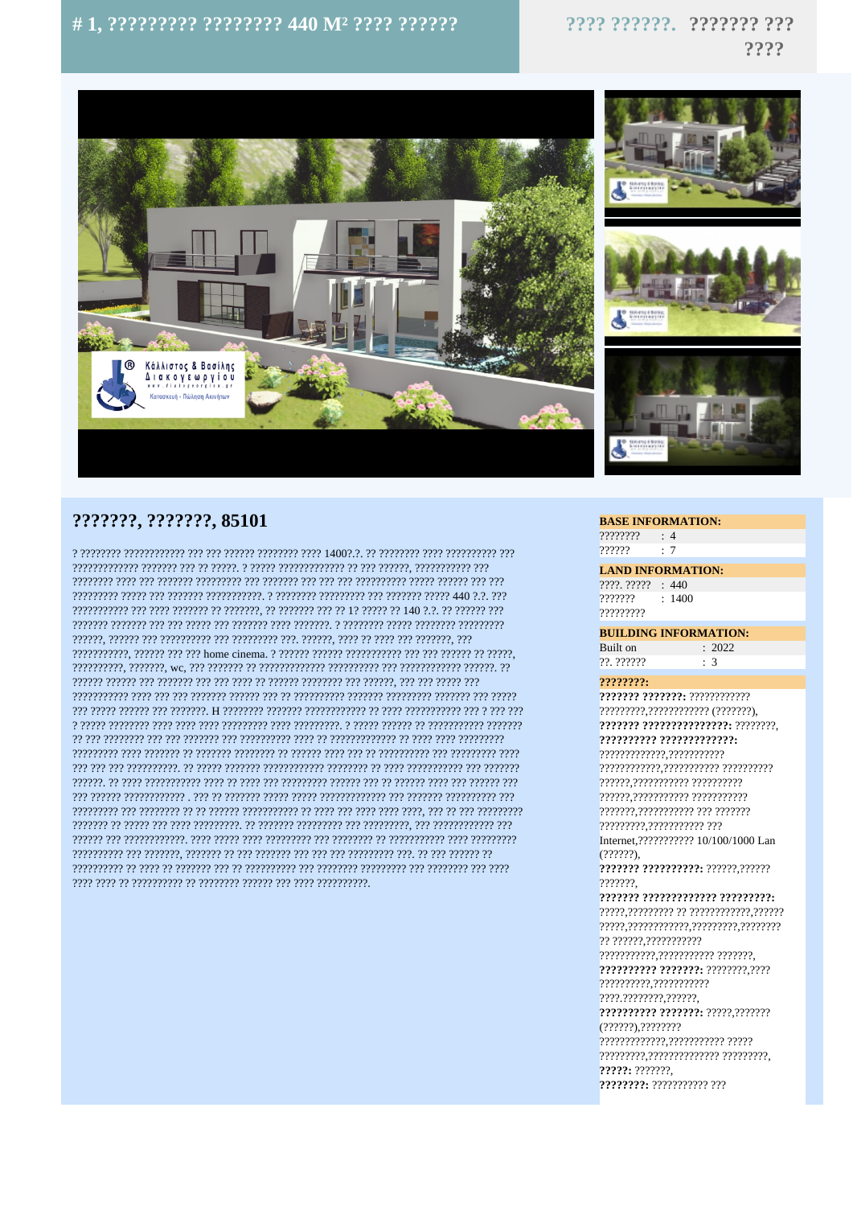# #1, ????????? ???????? 440 M<sup>2</sup> ???? ??????

???? ??????. ??????? ???  $2222$ 



## ???????. ???????. 85101

רכב בכברכברכבים בכבר בכברכברכב כך 14000 בכבר בכברכברכב בכברכב בכך ככך בכברכברכברכבר בכברכבר כ ויו ויויוי ויו ויו יוי ויויויו ויו ויויויויו ויויויו ויויו ויו יווי ויו ויויווי ויו ויויווי ויויויו a coccoco coccoccoco o coccoco coccoccoco e coccoccoco coccocco coccaccococcoccoccoco coccoco cocco רירי רירירירי רירי ריריר רירירירי רי רירי רירירירי רירירירירירי רירי ריריר ירי ריריר רירירירירי רירירי ריר בירירירי 

### **BASE INFORMATION:**

 $?????????$  : 4  $\therefore$  7 ??????

**LAND INFORMATION:** 

 $7777.77777 : 440$  $222222$  $\cdot$  1400 ,,,,,,,,,,

**BUILDING INFORMATION:**  $\frac{1}{2022}$ Built on ??. ??????  $\therefore$  3

#### $2222222.$

7777777 7777777: 777777777777 ?????????,???????????? (???????), 2222222.22222222222222222.22222222. 2222222222 22222222222222: ????????????.??????????? ??????????? ???????.??????????? ??? ??????? Internet, ??????????? 10/100/1000 Lan  $(2222)$ 2222222 22222222222: 222222,222222 2222222 2222222 2222222222222 222222222: ?? ??????.??????????? 2222222222 2222222: 22222222.2222 ?????????? ???????: ?????,??????? ?????: ??????? ????????: ??????????? ???